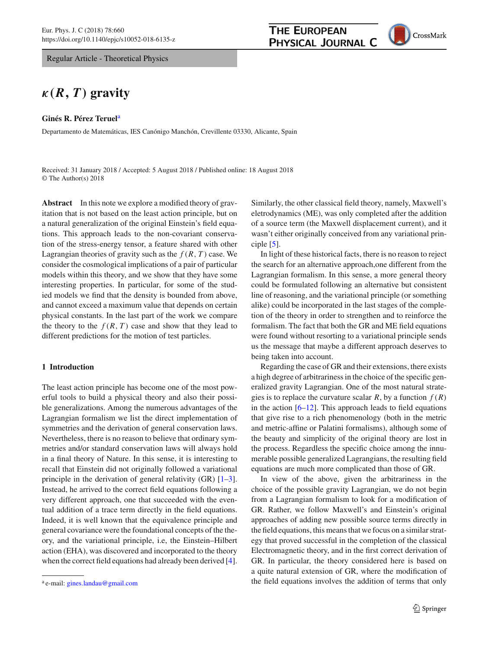Regular Article - Theoretical Physics

# $\kappa(R, T)$  gravity

**Ginés R. Pérez Teruel**<sup>a</sup>

Departamento de Matemáticas, IES Canónigo Manchón, Crevillente 03330, Alicante, Spain

Received: 31 January 2018 / Accepted: 5 August 2018 / Published online: 18 August 2018 © The Author(s) 2018

**Abstract** In this note we explore a modified theory of gravitation that is not based on the least action principle, but on a natural generalization of the original Einstein's field equations. This approach leads to the non-covariant conservation of the stress-energy tensor, a feature shared with other Lagrangian theories of gravity such as the  $f(R, T)$  case. We consider the cosmological implications of a pair of particular models within this theory, and we show that they have some interesting properties. In particular, for some of the studied models we find that the density is bounded from above, and cannot exceed a maximum value that depends on certain physical constants. In the last part of the work we compare the theory to the  $f(R, T)$  case and show that they lead to different predictions for the motion of test particles.

# **1 Introduction**

The least action principle has become one of the most powerful tools to build a physical theory and also their possible generalizations. Among the numerous advantages of the Lagrangian formalism we list the direct implementation of symmetries and the derivation of general conservation laws. Nevertheless, there is no reason to believe that ordinary symmetries and/or standard conservation laws will always hold in a final theory of Nature. In this sense, it is interesting to recall that Einstein did not originally followed a variational principle in the derivation of general relativity  $(GR)$   $[1-3]$  $[1-3]$ . Instead, he arrived to the correct field equations following a very different approach, one that succeeded with the eventual addition of a trace term directly in the field equations. Indeed, it is well known that the equivalence principle and general covariance were the foundational concepts of the theory, and the variational principle, i.e, the Einstein–Hilbert action (EHA), was discovered and incorporated to the theory when the correct field equations had already been derived [\[4](#page-8-2)].

Similarly, the other classical field theory, namely, Maxwell's eletrodynamics (ME), was only completed after the addition of a source term (the Maxwell displacement current), and it wasn't either originally conceived from any variational principle [\[5](#page-8-3)].

In light of these historical facts, there is no reason to reject the search for an alternative approach,one different from the Lagrangian formalism. In this sense, a more general theory could be formulated following an alternative but consistent line of reasoning, and the variational principle (or something alike) could be incorporated in the last stages of the completion of the theory in order to strengthen and to reinforce the formalism. The fact that both the GR and ME field equations were found without resorting to a variational principle sends us the message that maybe a different approach deserves to being taken into account.

Regarding the case of GR and their extensions, there exists a high degree of arbitrariness in the choice of the specific generalized gravity Lagrangian. One of the most natural strategies is to replace the curvature scalar *R*, by a function  $f(R)$ in the action  $[6–12]$  $[6–12]$  $[6–12]$ . This approach leads to field equations that give rise to a rich phenomenology (both in the metric and metric-affine or Palatini formalisms), although some of the beauty and simplicity of the original theory are lost in the process. Regardless the specific choice among the innumerable possible generalized Lagrangians, the resulting field equations are much more complicated than those of GR.

In view of the above, given the arbitrariness in the choice of the possible gravity Lagrangian, we do not begin from a Lagrangian formalism to look for a modification of GR. Rather, we follow Maxwell's and Einstein's original approaches of adding new possible source terms directly in the field equations, this means that we focus on a similar strategy that proved successful in the completion of the classical Electromagnetic theory, and in the first correct derivation of GR. In particular, the theory considered here is based on a quite natural extension of GR, where the modification of the field equations involves the addition of terms that only



<sup>a</sup> e-mail: [gines.landau@gmail.com](mailto:gines.landau@gmail.com)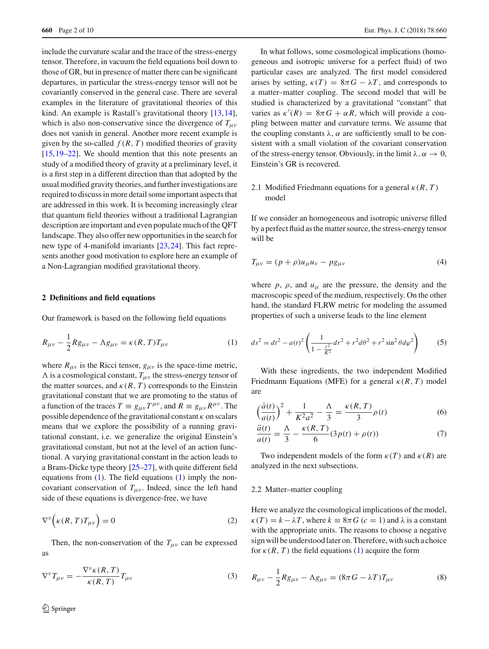include the curvature scalar and the trace of the stress-energy tensor. Therefore, in vacuum the field equations boil down to those of GR, but in presence of matter there can be significant departures, in particular the stress-energy tensor will not be covariantly conserved in the general case. There are several examples in the literature of gravitational theories of this kind. An example is Rastall's gravitational theory [\[13](#page-8-6)[,14](#page-8-7)], which is also non-conservative since the divergence of  $T_{\mu\nu}$ does not vanish in general. Another more recent example is given by the so-called  $f(R, T)$  modified theories of gravity  $[15,19-22]$  $[15,19-22]$  $[15,19-22]$  $[15,19-22]$ . We should mention that this note presents an study of a modified theory of gravity at a preliminary level, it is a first step in a different direction than that adopted by the usual modified gravity theories, and further investigations are required to discuss in more detail some important aspects that are addressed in this work. It is becoming increasingly clear that quantum field theories without a traditional Lagrangian description are important and even populate much of the QFT landscape. They also offer new opportunities in the search for new type of 4-manifold invariants [\[23,](#page-8-11)[24\]](#page-8-12). This fact represents another good motivation to explore here an example of a Non-Lagrangian modified gravitational theory.

#### **2 Definitions and field equations**

Our framework is based on the following field equations

$$
R_{\mu\nu} - \frac{1}{2} R g_{\mu\nu} - \Lambda g_{\mu\nu} = \kappa(R, T) T_{\mu\nu}
$$
 (1)

where  $R_{\mu\nu}$  is the Ricci tensor,  $g_{\mu\nu}$  is the space-time metric,  $\Lambda$  is a cosmological constant,  $T_{\mu\nu}$  the stress-energy tensor of the matter sources, and  $\kappa(R, T)$  corresponds to the Einstein gravitational constant that we are promoting to the status of a function of the traces  $T \equiv g_{\mu\nu}T^{\mu\nu}$ , and  $R \equiv g_{\mu\nu}R^{\mu\nu}$ . The possible dependence of the gravitational constant  $\kappa$  on scalars means that we explore the possibility of a running gravitational constant, i.e. we generalize the original Einstein's gravitational constant, but not at the level of an action functional. A varying gravitational constant in the action leads to a Brans-Dicke type theory [\[25](#page-8-13)[–27](#page-9-0)], with quite different field equations from  $(1)$ . The field equations  $(1)$  imply the noncovariant conservation of  $T_{\mu\nu}$ . Indeed, since the left hand side of these equations is divergence-free, we have

$$
\nabla^{\nu}\Big(\kappa(R,T)T_{\mu\nu}\Big) = 0\tag{2}
$$

<span id="page-1-2"></span>Then, the non-conservation of the  $T_{\mu\nu}$  can be expressed as

$$
\nabla^{\nu}T_{\mu\nu} = -\frac{\nabla^{\nu}\kappa(R,T)}{\kappa(R,T)}T_{\mu\nu}
$$
\n(3)

In what follows, some cosmological implications (homogeneous and isotropic universe for a perfect fluid) of two particular cases are analyzed. The first model considered arises by setting,  $\kappa(T) = 8\pi G - \lambda T$ , and corresponds to a matter–matter coupling. The second model that will be studied is characterized by a gravitational "constant" that varies as  $\kappa'(R) = 8\pi G + \alpha R$ , which will provide a coupling between matter and curvature terms. We assume that the coupling constants  $\lambda$ ,  $\alpha$  are sufficiently small to be consistent with a small violation of the covariant conservation of the stress-energy tensor. Obviously, in the limit  $\lambda, \alpha \rightarrow 0$ , Einstein's GR is recovered.

2.1 Modified Friedmann equations for a general  $\kappa(R, T)$ model

If we consider an homogeneous and isotropic universe filled by a perfect fluid as the matter source, the stress-energy tensor will be

$$
T_{\mu\nu} = (p + \rho)u_{\mu}u_{\nu} - pg_{\mu\nu}
$$
\n<sup>(4)</sup>

where  $p$ ,  $\rho$ , and  $u_{\mu}$  are the pressure, the density and the macroscopic speed of the medium, respectively. On the other hand, the standard FLRW metric for modeling the assumed properties of such a universe leads to the line element

<span id="page-1-0"></span>
$$
ds^{2} = dt^{2} - a(t)^{2} \left( \frac{1}{1 - \frac{r^{2}}{K^{2}}} dr^{2} + r^{2} d\theta^{2} + r^{2} \sin^{2} \theta d\varphi^{2} \right)
$$
 (5)

With these ingredients, the two independent Modified Friedmann Equations (MFE) for a general  $\kappa(R, T)$  model are

$$
\left(\frac{\dot{a}(t)}{a(t)}\right)^2 + \frac{1}{K^2 a^2} - \frac{\Lambda}{3} = \frac{\kappa(R, T)}{3} \rho(t)
$$
 (6)

$$
\frac{\ddot{a}(t)}{a(t)} = \frac{\Lambda}{3} - \frac{\kappa(R, T)}{6} (3p(t) + \rho(t))
$$
\n(7)

Two independent models of the form  $\kappa(T)$  and  $\kappa(R)$  are analyzed in the next subsections.

## 2.2 Matter–matter coupling

Here we analyze the cosmological implications of the model,  $\kappa(T) = k - \lambda T$ , where  $k \equiv 8\pi G$  ( $c = 1$ ) and  $\lambda$  is a constant with the appropriate units. The reasons to choose a negative sign will be understood later on. Therefore, with such a choice for  $\kappa(R, T)$  the field equations [\(1\)](#page-1-0) acquire the form

<span id="page-1-1"></span>
$$
R_{\mu\nu} - \frac{1}{2} R g_{\mu\nu} - \Lambda g_{\mu\nu} = (8\pi G - \lambda T) T_{\mu\nu}
$$
\n(8)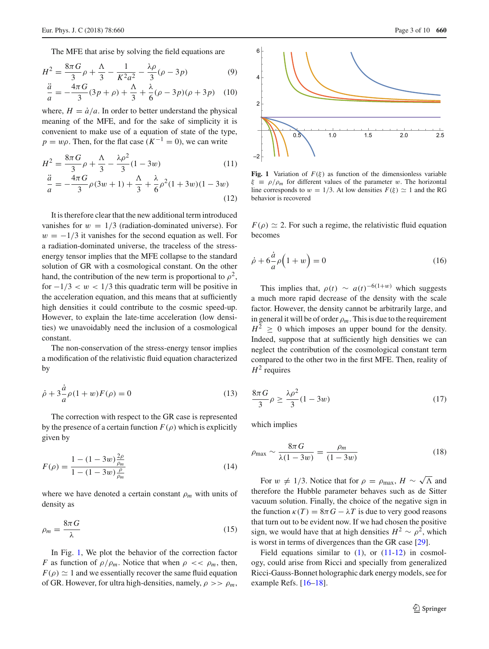The MFE that arise by solving the field equations are

$$
H^{2} = \frac{8\pi G}{3}\rho + \frac{\Lambda}{3} - \frac{1}{K^{2}a^{2}} - \frac{\lambda\rho}{3}(\rho - 3p)
$$
(9)

$$
\frac{\ddot{a}}{a} = -\frac{4\pi G}{3}(3p+\rho) + \frac{\Lambda}{3} + \frac{\lambda}{6}(\rho - 3p)(\rho + 3p) \quad (10)
$$

where,  $H = \dot{a}/a$ . In order to better understand the physical meaning of the MFE, and for the sake of simplicity it is convenient to make use of a equation of state of the type,  $p = w\rho$ . Then, for the flat case ( $K^{-1} = 0$ ), we can write

<span id="page-2-1"></span>
$$
H^{2} = \frac{8\pi G}{3}\rho + \frac{\Lambda}{3} - \frac{\lambda \rho^{2}}{3}(1 - 3w)
$$
 (11)

$$
\frac{\ddot{a}}{a} = -\frac{4\pi G}{3}\rho(3w+1) + \frac{\Lambda}{3} + \frac{\lambda}{6}\rho^2(1+3w)(1-3w)
$$
\n(12)

It is therefore clear that the new additional term introduced vanishes for  $w = 1/3$  (radiation-dominated universe). For  $w = -1/3$  it vanishes for the second equation as well. For a radiation-dominated universe, the traceless of the stressenergy tensor implies that the MFE collapse to the standard solution of GR with a cosmological constant. On the other hand, the contribution of the new term is proportional to  $\rho^2$ , for  $-1/3 < w < 1/3$  this quadratic term will be positive in the acceleration equation, and this means that at sufficiently high densities it could contribute to the cosmic speed-up. However, to explain the late-time acceleration (low densities) we unavoidably need the inclusion of a cosmological constant.

<span id="page-2-2"></span>The non-conservation of the stress-energy tensor implies a modification of the relativistic fluid equation characterized by

$$
\dot{\rho} + 3\frac{\dot{a}}{a}\rho(1+w)F(\rho) = 0
$$
\n(13)

The correction with respect to the GR case is represented by the presence of a certain function  $F(\rho)$  which is explicitly given by

$$
F(\rho) = \frac{1 - (1 - 3w)\frac{2\rho}{\rho_m}}{1 - (1 - 3w)\frac{\rho}{\rho_m}}
$$
(14)

where we have denoted a certain constant  $\rho_m$  with units of density as

$$
\rho_m = \frac{8\pi G}{\lambda} \tag{15}
$$

In Fig. [1,](#page-2-0) We plot the behavior of the correction factor *F* as function of  $\rho/\rho_m$ . Notice that when  $\rho \ll \rho_m$ , then,  $F(\rho) \simeq 1$  and we essentially recover the same fluid equation of GR. However, for ultra high-densities, namely,  $\rho \gg \rho_m$ ,





<span id="page-2-0"></span>**Fig. 1** Variation of  $F(\xi)$  as function of the dimensionless variable  $\xi = \frac{\rho}{\rho_m}$  for different values of the parameter w. The horizontal line corresponds to  $w = 1/3$ . At low densities  $F(\xi) \simeq 1$  and the RG behavior is recovered

 $F(\rho) \simeq 2$ . For such a regime, the relativistic fluid equation becomes

$$
\dot{\rho} + 6\frac{\dot{a}}{a}\rho \left(1 + w\right) = 0\tag{16}
$$

This implies that,  $\rho(t) \sim a(t)^{-6(1+w)}$  which suggests a much more rapid decrease of the density with the scale factor. However, the density cannot be arbitrarily large, and in general it will be of order  $\rho_m$ . This is due to the requirement  $H^2 \geq 0$  which imposes an upper bound for the density. Indeed, suppose that at sufficiently high densities we can neglect the contribution of the cosmological constant term compared to the other two in the first MFE. Then, reality of  $H^2$  requires

<span id="page-2-4"></span>
$$
\frac{8\pi G}{3}\rho \ge \frac{\lambda \rho^2}{3}(1-3w) \tag{17}
$$

<span id="page-2-3"></span>which implies

$$
\rho_{\max} \sim \frac{8\pi G}{\lambda(1-3w)} = \frac{\rho_m}{(1-3w)}\tag{18}
$$

For  $w \neq 1/3$ . Notice that for  $\rho = \rho_{\text{max}}$ ,  $H \sim \sqrt{\Lambda}$  and therefore the Hubble parameter behaves such as de Sitter vacuum solution. Finally, the choice of the negative sign in the function  $\kappa(T) = 8\pi G - \lambda T$  is due to very good reasons that turn out to be evident now. If we had chosen the positive sign, we would have that at high densities  $H^2 \sim \rho^2$ , which is worst in terms of divergences than the GR case [\[29\]](#page-9-1).

Field equations similar to  $(1)$ , or  $(11-12)$  in cosmology, could arise from Ricci and specially from generalized Ricci-Gauss-Bonnet holographic dark energy models, see for example Refs. [\[16](#page-8-14)[–18\]](#page-8-15).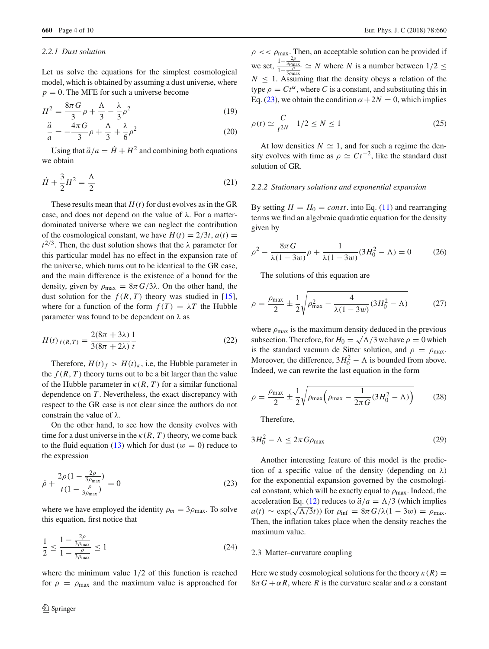#### *2.2.1 Dust solution*

Let us solve the equations for the simplest cosmological model, which is obtained by assuming a dust universe, where  $p = 0$ . The MFE for such a universe become

$$
H^2 = \frac{8\pi G}{3}\rho + \frac{\Lambda}{3} - \frac{\lambda}{3}\rho^2\tag{19}
$$

$$
\frac{\ddot{a}}{a} = -\frac{4\pi G}{3}\rho + \frac{\Lambda}{3} + \frac{\lambda}{6}\rho^2\tag{20}
$$

Using that  $\ddot{a}/a = \dot{H} + H^2$  and combining both equations we obtain

$$
\dot{H} + \frac{3}{2}H^2 = \frac{\Lambda}{2}
$$
\n(21)

These results mean that  $H(t)$  for dust evolves as in the GR case, and does not depend on the value of λ. For a matterdominated universe where we can neglect the contribution of the cosmological constant, we have  $H(t) = 2/3t$ ,  $a(t) =$  $t^{2/3}$ . Then, the dust solution shows that the  $\lambda$  parameter for this particular model has no effect in the expansion rate of the universe, which turns out to be identical to the GR case, and the main difference is the existence of a bound for the density, given by  $\rho_{\text{max}} = 8\pi G/3\lambda$ . On the other hand, the dust solution for the  $f(R, T)$  theory was studied in [\[15](#page-8-8)], where for a function of the form  $f(T) = \lambda T$  the Hubble parameter was found to be dependent on  $\lambda$  as

$$
H(t)_{f(R,T)} = \frac{2(8\pi + 3\lambda)}{3(8\pi + 2\lambda)}\frac{1}{t}
$$
 (22)

Therefore,  $H(t)$   $f > H(t)$ <sub>K</sub>, i.e, the Hubble parameter in the  $f(R, T)$  theory turns out to be a bit larger than the value of the Hubble parameter in  $\kappa(R, T)$  for a similar functional dependence on *T* . Nevertheless, the exact discrepancy with respect to the GR case is not clear since the authors do not constrain the value of  $\lambda$ .

On the other hand, to see how the density evolves with time for a dust universe in the  $\kappa(R, T)$  theory, we come back to the fluid equation [\(13\)](#page-2-2) which for dust ( $w = 0$ ) reduce to the expression

<span id="page-3-0"></span>
$$
\dot{\rho} + \frac{2\rho (1 - \frac{2\rho}{3\rho_{\text{max}}})}{t(1 - \frac{\rho}{3\rho_{\text{max}}})} = 0
$$
\n(23)

where we have employed the identity  $\rho_m = 3\rho_{\text{max}}$ . To solve this equation, first notice that

$$
\frac{1}{2} \le \frac{1 - \frac{2\rho}{3\rho_{\text{max}}}}{1 - \frac{\rho}{3\rho_{\text{max}}}} \le 1\tag{24}
$$

where the minimum value  $1/2$  of this function is reached for  $\rho = \rho_{\text{max}}$  and the maximum value is approached for  $\rho \ll \rho_{\text{max}}$ . Then, an acceptable solution can be provided if we set,  $\frac{1}{1-\frac{\rho}{3\rho_{\text{max}}}}$  $\frac{1-\frac{2\rho}{3\rho_{\text{max}}}}{1-\frac{\rho}{2\rho}} \simeq N$  where *N* is a number between  $1/2 \leq$  $N \leq 1$ . Assuming that the density obeys a relation of the type  $\rho = Ct^{\alpha}$ , where *C* is a constant, and substituting this in Eq. [\(23\)](#page-3-0), we obtain the condition  $\alpha + 2N = 0$ , which implies

$$
\rho(t) \simeq \frac{C}{t^{2N}} \quad 1/2 \le N \le 1 \tag{25}
$$

At low densities  $N \simeq 1$ , and for such a regime the density evolves with time as  $\rho \simeq C t^{-2}$ , like the standard dust solution of GR.

## *2.2.2 Stationary solutions and exponential expansion*

By setting  $H = H_0 = const.$  into Eq. [\(11\)](#page-2-1) and rearranging terms we find an algebraic quadratic equation for the density given by

$$
\rho^2 - \frac{8\pi G}{\lambda(1 - 3w)}\rho + \frac{1}{\lambda(1 - 3w)}(3H_0^2 - \Lambda) = 0 \tag{26}
$$

The solutions of this equation are

$$
\rho = \frac{\rho_{\text{max}}}{2} \pm \frac{1}{2} \sqrt{\rho_{\text{max}}^2 - \frac{4}{\lambda (1 - 3w)} (3H_0^2 - \Lambda)}
$$
(27)

where  $\rho_{\text{max}}$  is the maximum density deduced in the previous subsection. Therefore, for  $H_0 = \sqrt{\Lambda/3}$  we have  $\rho = 0$  which is the standard vacuum de Sitter solution, and  $\rho = \rho_{\text{max}}$ . Moreover, the difference,  $3H_0^2 - \Lambda$  is bounded from above. Indeed, we can rewrite the last equation in the form

$$
\rho = \frac{\rho_{\text{max}}}{2} \pm \frac{1}{2} \sqrt{\rho_{\text{max}} \left( \rho_{\text{max}} - \frac{1}{2\pi G} (3H_0^2 - \Lambda) \right)} \tag{28}
$$

Therefore,

$$
3H_0^2 - \Lambda \le 2\pi G\rho_{\text{max}} \tag{29}
$$

Another interesting feature of this model is the prediction of a specific value of the density (depending on  $\lambda$ ) for the exponential expansion governed by the cosmological constant, which will be exactly equal to  $\rho_{\text{max}}$ . Indeed, the acceleration Eq. [\(12\)](#page-2-1) reduces to  $\ddot{a}/a = \Lambda/3$  (which implies  $a(t) \sim \exp(\sqrt{\Lambda/3}t)$  for  $\rho_{\text{inf}} = 8\pi G/\lambda(1 - 3w) = \rho_{\text{max}}$ . Then, the inflation takes place when the density reaches the maximum value.

## 2.3 Matter–curvature coupling

Here we study cosmological solutions for the theory  $\kappa(R)$  =  $8\pi G + \alpha R$ , where *R* is the curvature scalar and  $\alpha$  a constant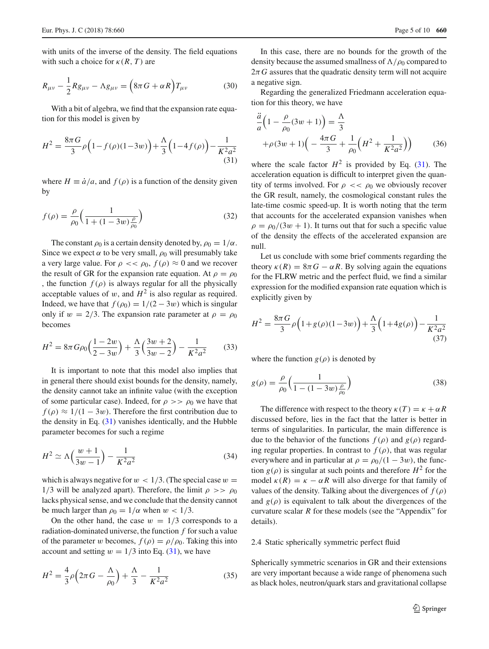with units of the inverse of the density. The field equations with such a choice for  $\kappa(R, T)$  are

$$
R_{\mu\nu} - \frac{1}{2} R g_{\mu\nu} - \Lambda g_{\mu\nu} = \left( 8\pi G + \alpha R \right) T_{\mu\nu} \tag{30}
$$

<span id="page-4-0"></span>With a bit of algebra, we find that the expansion rate equation for this model is given by

$$
H^{2} = \frac{8\pi G}{3} \rho \left( 1 - f(\rho)(1 - 3w) \right) + \frac{\Lambda}{3} \left( 1 - 4f(\rho) \right) - \frac{1}{K^{2} a^{2}}
$$
\n(31)

where  $H \equiv \dot{a}/a$ , and  $f(\rho)$  is a function of the density given by

$$
f(\rho) = \frac{\rho}{\rho_0} \left( \frac{1}{1 + (1 - 3w)\frac{\rho}{\rho_0}} \right)
$$
 (32)

The constant  $\rho_0$  is a certain density denoted by,  $\rho_0 = 1/\alpha$ . Since we expect  $\alpha$  to be very small,  $\rho_0$  will presumably take a very large value. For  $\rho \ll \rho_0$ ,  $f(\rho) \approx 0$  and we recover the result of GR for the expansion rate equation. At  $\rho = \rho_0$ , the function  $f(\rho)$  is always regular for all the physically acceptable values of  $w$ , and  $H^2$  is also regular as required. Indeed, we have that  $f(\rho_0) = 1/(2 - 3w)$  which is singular only if  $w = 2/3$ . The expansion rate parameter at  $\rho = \rho_0$ becomes

$$
H^{2} = 8\pi G\rho_{0}\left(\frac{1-2w}{2-3w}\right) + \frac{\Lambda}{3}\left(\frac{3w+2}{3w-2}\right) - \frac{1}{K^{2}a^{2}}\tag{33}
$$

It is important to note that this model also implies that in general there should exist bounds for the density, namely, the density cannot take an infinite value (with the exception of some particular case). Indeed, for  $\rho \gg \rho_0$  we have that  $f(\rho) \approx 1/(1-3w)$ . Therefore the first contribution due to the density in Eq. [\(31\)](#page-4-0) vanishes identically, and the Hubble parameter becomes for such a regime

$$
H2 \simeq \Lambda\left(\frac{w+1}{3w-1}\right) - \frac{1}{K2a2} \tag{34}
$$

which is always negative for  $w < 1/3$ . (The special case  $w =$ 1/3 will be analyzed apart). Therefore, the limit  $\rho \gg \rho_0$ lacks physical sense, and we conclude that the density cannot be much larger than  $\rho_0 = 1/\alpha$  when  $w < 1/3$ .

On the other hand, the case  $w = 1/3$  corresponds to a radiation-dominated universe, the function *f* for such a value of the parameter w becomes,  $f(\rho) = \rho/\rho_0$ . Taking this into account and setting  $w = 1/3$  into Eq. [\(31\)](#page-4-0), we have

$$
H^{2} = \frac{4}{3}\rho \left(2\pi G - \frac{\Lambda}{\rho_{0}}\right) + \frac{\Lambda}{3} - \frac{1}{K^{2}a^{2}}
$$
(35)

In this case, there are no bounds for the growth of the density because the assumed smallness of  $\Lambda/\rho_0$  compared to  $2\pi G$  assures that the quadratic density term will not acquire a negative sign.

Regarding the generalized Friedmann acceleration equation for this theory, we have

$$
\frac{\ddot{a}}{a} \left( 1 - \frac{\rho}{\rho_0} (3w + 1) \right) = \frac{\Lambda}{3}
$$
  
+  $\rho (3w + 1) \left( -\frac{4\pi G}{3} + \frac{1}{\rho_0} \left( H^2 + \frac{1}{K^2 a^2} \right) \right)$  (36)

where the scale factor  $H^2$  is provided by Eq. [\(31\)](#page-4-0). The acceleration equation is difficult to interpret given the quantity of terms involved. For  $\rho \ll \rho_0$  we obviously recover the GR result, namely, the cosmological constant rules the late-time cosmic speed-up. It is worth noting that the term that accounts for the accelerated expansion vanishes when  $\rho = \rho_0/(3w + 1)$ . It turns out that for such a specific value of the density the effects of the accelerated expansion are null.

Let us conclude with some brief comments regarding the theory  $\kappa(R) = 8\pi G - \alpha R$ . By solving again the equations for the FLRW metric and the perfect fluid, we find a similar expression for the modified expansion rate equation which is explicitly given by

$$
H^{2} = \frac{8\pi G}{3} \rho \left( 1 + g(\rho)(1 - 3w) \right) + \frac{\Lambda}{3} \left( 1 + 4g(\rho) \right) - \frac{1}{K^{2} a^{2}}
$$
\n(37)

where the function  $g(\rho)$  is denoted by

$$
g(\rho) = \frac{\rho}{\rho_0} \left( \frac{1}{1 - (1 - 3w) \frac{\rho}{\rho_0}} \right)
$$
 (38)

The difference with respect to the theory  $\kappa(T) = \kappa + \alpha R$ discussed before, lies in the fact that the latter is better in terms of singularities. In particular, the main difference is due to the behavior of the functions  $f(\rho)$  and  $g(\rho)$  regarding regular properties. In contrast to  $f(\rho)$ , that was regular everywhere and in particular at  $\rho = \rho_0/(1 - 3w)$ , the function  $g(\rho)$  is singular at such points and therefore  $H^2$  for the model  $\kappa(R) = \kappa - \alpha R$  will also diverge for that family of values of the density. Talking about the divergences of  $f(\rho)$ and  $g(\rho)$  is equivalent to talk about the divergences of the curvature scalar *R* for these models (see the "Appendix" for details).

#### 2.4 Static spherically symmetric perfect fluid

Spherically symmetric scenarios in GR and their extensions are very important because a wide range of phenomena such as black holes, neutron/quark stars and gravitational collapse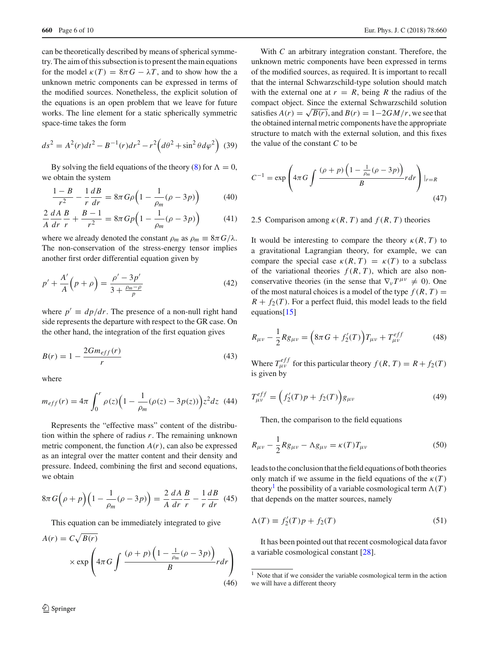can be theoretically described by means of spherical symmetry. The aim of this subsection is to present the main equations for the model  $\kappa(T) = 8\pi G - \lambda T$ , and to show how the a unknown metric components can be expressed in terms of the modified sources. Nonetheless, the explicit solution of the equations is an open problem that we leave for future works. The line element for a static spherically symmetric space-time takes the form

$$
ds^{2} = A^{2}(r)dt^{2} - B^{-1}(r)dr^{2} - r^{2}(d\theta^{2} + \sin^{2}\theta d\varphi^{2})
$$
 (39)

By solving the field equations of the theory [\(8\)](#page-1-1) for  $\Lambda = 0$ , we obtain the system

$$
\frac{1-B}{r^2} - \frac{1}{r}\frac{dB}{dr} = 8\pi G\rho \left(1 - \frac{1}{\rho_m}(\rho - 3p)\right) \tag{40}
$$

$$
\frac{2}{A}\frac{dA}{dr}\frac{B}{r} + \frac{B-1}{r^2} = 8\pi Gp\left(1 - \frac{1}{\rho_m}(\rho - 3p)\right) \tag{41}
$$

where we already denoted the constant  $\rho_m$  as  $\rho_m \equiv 8\pi G/\lambda$ . The non-conservation of the stress-energy tensor implies another first order differential equation given by

$$
p' + \frac{A'}{A}\left(p + \rho\right) = \frac{\rho' - 3p'}{3 + \frac{\rho_m - \rho}{p}}
$$
(42)

where  $p' \equiv dp/dr$ . The presence of a non-null right hand side represents the departure with respect to the GR case. On the other hand, the integration of the first equation gives

$$
B(r) = 1 - \frac{2Gm_{eff}(r)}{r}
$$
\n<sup>(43)</sup>

where

$$
m_{eff}(r) = 4\pi \int_0^r \rho(z) \Big( 1 - \frac{1}{\rho_m} (\rho(z) - 3p(z)) \Big) z^2 dz
$$
 (44)

Represents the "effective mass" content of the distribution within the sphere of radius *r*. The remaining unknown metric component, the function *A*(*r*), can also be expressed as an integral over the matter content and their density and pressure. Indeed, combining the first and second equations, we obtain

$$
8\pi G \left(\rho + p\right) \left(1 - \frac{1}{\rho_m}(\rho - 3p)\right) = \frac{2}{A} \frac{dA}{dr} \frac{B}{r} - \frac{1}{r} \frac{dB}{dr} \tag{45}
$$

This equation can be immediately integrated to give

$$
A(r) = C\sqrt{B(r)}
$$
  
 
$$
\times \exp\left(4\pi G \int \frac{(\rho + p)\left(1 - \frac{1}{\rho_m}(\rho - 3p)\right)}{B} r dr\right)
$$
(46)

With *C* an arbitrary integration constant. Therefore, the unknown metric components have been expressed in terms of the modified sources, as required. It is important to recall that the internal Schwarzschild-type solution should match with the external one at  $r = R$ , being R the radius of the compact object. Since the external Schwarzschild solution satisfies  $A(r) = \sqrt{B(r)}$ , and  $B(r) = 1-2GM/r$ , we see that the obtained internal metric components have the appropriate structure to match with the external solution, and this fixes the value of the constant *C* to be

$$
C^{-1} = \exp\left(4\pi G \int \frac{(\rho + p)\left(1 - \frac{1}{\rho_m}(\rho - 3p)\right)}{B} r dr\right)|_{r=R}
$$
\n(47)

## 2.5 Comparison among  $\kappa(R, T)$  and  $f(R, T)$  theories

It would be interesting to compare the theory  $\kappa(R, T)$  to a gravitational Lagrangian theory, for example, we can compare the special case  $\kappa(R, T) = \kappa(T)$  to a subclass of the variational theories  $f(R, T)$ , which are also nonconservative theories (in the sense that  $\nabla_{\nu}T^{\mu\nu} \neq 0$ ). One of the most natural choices is a model of the type  $f(R, T) =$  $R + f_2(T)$ . For a perfect fluid, this model leads to the field equations[\[15\]](#page-8-8)

$$
R_{\mu\nu} - \frac{1}{2} R g_{\mu\nu} = \left( 8\pi G + f_2'(T) \right) T_{\mu\nu} + T_{\mu\nu}^{eff} \tag{48}
$$

Where  $T_{\mu\nu}^{eff}$  for this particular theory  $f(R, T) = R + f_2(T)$ is given by

$$
T_{\mu\nu}^{eff} = (f_2'(T)p + f_2(T))g_{\mu\nu}
$$
 (49)

Then, the comparison to the field equations

$$
R_{\mu\nu} - \frac{1}{2} R g_{\mu\nu} - \Lambda g_{\mu\nu} = \kappa(T) T_{\mu\nu}
$$
\n(50)

leads to the conclusion that the field equations of both theories only match if we assume in the field equations of the  $\kappa(T)$ theory<sup>1</sup> the possibility of a variable cosmological term  $\Lambda(T)$ that depends on the matter sources, namely

$$
\Lambda(T) \equiv f_2'(T)p + f_2(T) \tag{51}
$$

It has been pointed out that recent cosmological data favor a variable cosmological constant [\[28](#page-9-2)].

<span id="page-5-0"></span><sup>&</sup>lt;sup>1</sup> Note that if we consider the variable cosmological term in the action we will have a different theory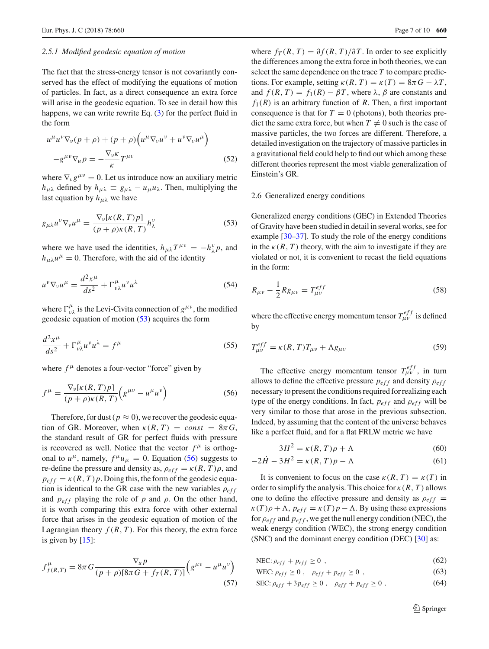#### *2.5.1 Modified geodesic equation of motion*

The fact that the stress-energy tensor is not covariantly conserved has the effect of modifying the equations of motion of particles. In fact, as a direct consequence an extra force will arise in the geodesic equation. To see in detail how this happens, we can write rewrite Eq. [\(3\)](#page-1-2) for the perfect fluid in the form

$$
u^{\mu}u^{\nu}\nabla_{\nu}(p+\rho) + (p+\rho)\left(u^{\mu}\nabla_{\nu}u^{\nu} + u^{\nu}\nabla_{\nu}u^{\mu}\right)
$$

$$
-g^{\mu\nu}\nabla_{\nu}p = -\frac{\nabla_{\nu}\kappa}{\kappa}T^{\mu\nu}
$$
(52)

where  $\nabla_{\nu} g^{\mu\nu} = 0$ . Let us introduce now an auxiliary metric  $h_{\mu\lambda}$  defined by  $h_{\mu\lambda} \equiv g_{\mu\lambda} - u_{\mu} u_{\lambda}$ . Then, multiplying the last equation by  $h_{\mu\lambda}$  we have

<span id="page-6-0"></span>
$$
g_{\mu\lambda}u^{\nu}\nabla_{\nu}u^{\mu} = \frac{\nabla_{\nu}[\kappa(R,T)p]}{(p+\rho)\kappa(R,T)}h_{\lambda}^{\nu}
$$
(53)

where we have used the identities,  $h_{\mu\lambda}T^{\mu\nu} = -h_{\lambda}^{\nu}p$ , and  $h_{\mu\lambda}u^{\mu} = 0$ . Therefore, with the aid of the identity

$$
u^{\nu}\nabla_{\nu}u^{\mu} = \frac{d^2x^{\mu}}{ds^2} + \Gamma^{\mu}_{\nu\lambda}u^{\nu}u^{\lambda}
$$
 (54)

where  $\Gamma^{\mu}_{\nu\lambda}$  is the Levi-Civita connection of  $g^{\mu\nu}$ , the modified geodesic equation of motion [\(53\)](#page-6-0) acquires the form

$$
\frac{d^2x^{\mu}}{ds^2} + \Gamma^{\mu}_{\nu\lambda}u^{\nu}u^{\lambda} = f^{\mu} \tag{55}
$$

where  $f^{\mu}$  denotes a four-vector "force" given by

$$
f^{\mu} = \frac{\nabla_{\nu}[\kappa(R,T)p]}{(p+\rho)\kappa(R,T)} \Big( g^{\mu\nu} - u^{\mu}u^{\nu} \Big)
$$
 (56)

Therefore, for dust ( $p \approx 0$ ), we recover the geodesic equation of GR. Moreover, when  $\kappa(R, T) = const = 8\pi G$ , the standard result of GR for perfect fluids with pressure is recovered as well. Notice that the vector  $f^{\mu}$  is orthogonal to  $u^{\mu}$ , namely,  $f^{\mu}u_{\mu} = 0$ . Equation [\(56\)](#page-6-1) suggests to re-define the pressure and density as,  $\rho_{eff} = \kappa(R, T) \rho$ , and  $p_{eff} = \kappa(R, T)p$ . Doing this, the form of the geodesic equation is identical to the GR case with the new variables  $\rho_{eff}$ and  $p_{eff}$  playing the role of  $p$  and  $\rho$ . On the other hand, it is worth comparing this extra force with other external force that arises in the geodesic equation of motion of the Lagrangian theory  $f(R, T)$ . For this theory, the extra force is given by [\[15](#page-8-8)]:

$$
f_{f(R,T)}^{\mu} = 8\pi G \frac{\nabla_{u} p}{(p+\rho)[8\pi G + f_{T}(R,T)]} \Big(g^{\mu\nu} - u^{\mu} u^{\nu}\Big)
$$
\n(57)

where  $f_T(R, T) = \partial f(R, T)/\partial T$ . In order to see explicitly the differences among the extra force in both theories, we can select the same dependence on the trace *T* to compare predictions. For example, setting  $\kappa(R, T) = \kappa(T) = 8\pi G - \lambda T$ , and  $f(R, T) = f_1(R) - \beta T$ , where  $\lambda$ ,  $\beta$  are constants and  $f_1(R)$  is an arbitrary function of *R*. Then, a first important consequence is that for  $T = 0$  (photons), both theories predict the same extra force, but when  $T \neq 0$  such is the case of massive particles, the two forces are different. Therefore, a detailed investigation on the trajectory of massive particles in a gravitational field could help to find out which among these different theories represent the most viable generalization of Einstein's GR.

## 2.6 Generalized energy conditions

Generalized energy conditions (GEC) in Extended Theories of Gravity have been studied in detail in several works, see for example [\[30](#page-9-3)[–37](#page-9-4)]. To study the role of the energy conditions in the  $\kappa(R, T)$  theory, with the aim to investigate if they are violated or not, it is convenient to recast the field equations in the form:

$$
R_{\mu\nu} - \frac{1}{2} R g_{\mu\nu} = T_{\mu\nu}^{eff} \tag{58}
$$

where the effective energy momentum tensor  $T_{\mu\nu}^{eff}$  is defined by

$$
T_{\mu\nu}^{eff} = \kappa(R, T)T_{\mu\nu} + \Lambda g_{\mu\nu}
$$
\n(59)

<span id="page-6-1"></span>The effective energy momentum tensor  $T_{\mu\nu}^{eff}$ , in turn allows to define the effective pressure  $p_{eff}$  and density  $\rho_{eff}$ necessary to present the conditions required for realizing each type of the energy conditions. In fact,  $p_{eff}$  and  $p_{eff}$  will be very similar to those that arose in the previous subsection. Indeed, by assuming that the content of the universe behaves like a perfect fluid, and for a flat FRLW metric we have

$$
3H^2 = \kappa(R, T)\rho + \Lambda \tag{60}
$$

$$
-2\dot{H} - 3H^2 = \kappa(R, T)p - \Lambda
$$
\n(61)

It is convenient to focus on the case  $\kappa(R, T) = \kappa(T)$  in order to simplify the analysis. This choice for  $\kappa(R, T)$  allows one to define the effective pressure and density as  $\rho_{eff}$  =  $\kappa(T)\rho + \Lambda$ ,  $p_{eff} = \kappa(T)p - \Lambda$ . By using these expressions for *ρ*<sub>eff</sub> and *p*<sub>eff</sub>, we get the null energy condition (NEC), the weak energy condition (WEC), the strong energy condition (SNC) and the dominant energy condition (DEC) [\[30](#page-9-3)] as:

$$
NEC: \rho_{eff} + p_{eff} \ge 0 \tag{62}
$$

WEC:  $\rho_{eff} \ge 0$ ,  $\rho_{eff} + p_{eff} \ge 0$ , (63)

$$
SEC: \rho_{eff} + 3p_{eff} \ge 0 , \quad \rho_{eff} + p_{eff} \ge 0 , \tag{64}
$$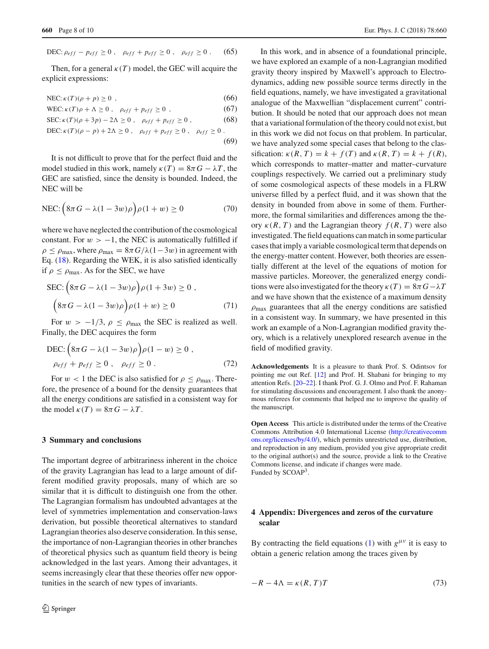$$
\text{DEC: } \rho_{eff} - p_{eff} \ge 0 \; , \quad \rho_{eff} + p_{eff} \ge 0 \; , \quad \rho_{eff} \ge 0 \; . \tag{65}
$$

Then, for a general  $\kappa(T)$  model, the GEC will acquire the explicit expressions:

$$
NEC: \kappa(T)(\rho + p) \ge 0 \tag{66}
$$

$$
\text{WEC}: \kappa(T)\rho + \Lambda \ge 0 \;, \quad \rho_{eff} + p_{eff} \ge 0 \;, \tag{67}
$$

SEC:  $\kappa(T)(\rho + 3p) - 2\Lambda \ge 0$ ,  $\rho_{eff} + p_{eff} \ge 0$ , (68)  $DEC: \kappa(T)(\rho - p)$  -

$$
+2\Lambda \geq 0 \; , \quad \rho_{eff} + p_{eff} \geq 0 \; , \quad \rho_{eff} \geq 0 \; . \tag{69}
$$

It is not difficult to prove that for the perfect fluid and the model studied in this work, namely  $\kappa(T) = 8\pi G - \lambda T$ , the GEC are satisfied, since the density is bounded. Indeed, the NEC will be

$$
\text{NEC: } \left(8\pi G - \lambda(1 - 3w)\rho\right)\rho(1 + w) \ge 0 \tag{70}
$$

where we have neglected the contribution of the cosmological constant. For  $w > -1$ , the NEC is automatically fulfilled if  $\rho \leq \rho_{\text{max}}$ , where  $\rho_{\text{max}} = 8\pi G/\lambda(1-3w)$  in agreement with Eq. [\(18\)](#page-2-3). Regarding the WEK, it is also satisfied identically if  $\rho \leq \rho_{\text{max}}$ . As for the SEC, we have

$$
SEC: (8πG – λ(1 – 3w)ρ)ρ(1 + 3w) ≥ 0,(8πG – λ(1 – 3w)ρ)ρ(1 + w) ≥ 0
$$
\n(71)

For  $w > -1/3$ ,  $\rho \le \rho_{\text{max}}$  the SEC is realized as well. Finally, the DEC acquires the form

$$
\text{DEC: } \left(8\pi G - \lambda (1 - 3w)\rho\right)\rho(1 - w) \ge 0 ,
$$
\n
$$
\rho_{eff} + p_{eff} \ge 0 , \quad \rho_{eff} \ge 0 . \tag{72}
$$

For  $w < 1$  the DEC is also satisfied for  $\rho \le \rho_{\text{max}}$ . Therefore, the presence of a bound for the density guarantees that all the energy conditions are satisfied in a consistent way for the model  $\kappa(T) = 8\pi G - \lambda T$ .

#### **3 Summary and conclusions**

The important degree of arbitrariness inherent in the choice of the gravity Lagrangian has lead to a large amount of different modified gravity proposals, many of which are so similar that it is difficult to distinguish one from the other. The Lagrangian formalism has undoubted advantages at the level of symmetries implementation and conservation-laws derivation, but possible theoretical alternatives to standard Lagrangian theories also deserve consideration. In this sense, the importance of non-Lagrangian theories in other branches of theoretical physics such as quantum field theory is being acknowledged in the last years. Among their advantages, it seems increasingly clear that these theories offer new opportunities in the search of new types of invariants.

In this work, and in absence of a foundational principle, we have explored an example of a non-Lagrangian modified gravity theory inspired by Maxwell's approach to Electrodynamics, adding new possible source terms directly in the field equations, namely, we have investigated a gravitational analogue of the Maxwellian "displacement current" contribution. It should be noted that our approach does not mean that a variational formulation of the theory could not exist, but in this work we did not focus on that problem. In particular, we have analyzed some special cases that belong to the classification:  $\kappa(R, T) = k + f(T)$  and  $\kappa(R, T) = k + f(R)$ , which corresponds to matter–matter and matter–curvature couplings respectively. We carried out a preliminary study of some cosmological aspects of these models in a FLRW universe filled by a perfect fluid, and it was shown that the density in bounded from above in some of them. Furthermore, the formal similarities and differences among the theory  $\kappa(R, T)$  and the Lagrangian theory  $f(R, T)$  were also investigated. The field equations can match in some particular cases that imply a variable cosmological term that depends on the energy-matter content. However, both theories are essentially different at the level of the equations of motion for massive particles. Moreover, the generalized energy conditions were also investigated for the theory  $\kappa(T) = 8\pi G - \lambda T$ and we have shown that the existence of a maximum density  $\rho_{\text{max}}$  guarantees that all the energy conditions are satisfied in a consistent way. In summary, we have presented in this work an example of a Non-Lagrangian modified gravity theory, which is a relatively unexplored research avenue in the field of modified gravity.

**Acknowledgements** It is a pleasure to thank Prof. S. Odintsov for pointing me out Ref. [\[12](#page-8-5)] and Prof. H. Shabani for bringing to my attention Refs. [\[20](#page-8-16)[–22](#page-8-10)]. I thank Prof. G. J. Olmo and Prof. F. Rahaman for stimulating discussions and encouragement. I also thank the anonymous referees for comments that helped me to improve the quality of the manuscript.

**Open Access** This article is distributed under the terms of the Creative Commons Attribution 4.0 International License [\(http://creativecomm](http://creativecommons.org/licenses/by/4.0/) [ons.org/licenses/by/4.0/\)](http://creativecommons.org/licenses/by/4.0/), which permits unrestricted use, distribution, and reproduction in any medium, provided you give appropriate credit to the original author(s) and the source, provide a link to the Creative Commons license, and indicate if changes were made. Funded by SCOAP<sup>3</sup>.

## **4 Appendix: Divergences and zeros of the curvature scalar**

By contracting the field equations [\(1\)](#page-1-0) with  $g^{\mu\nu}$  it is easy to obtain a generic relation among the traces given by

$$
-R - 4\Lambda = \kappa(R, T)T\tag{73}
$$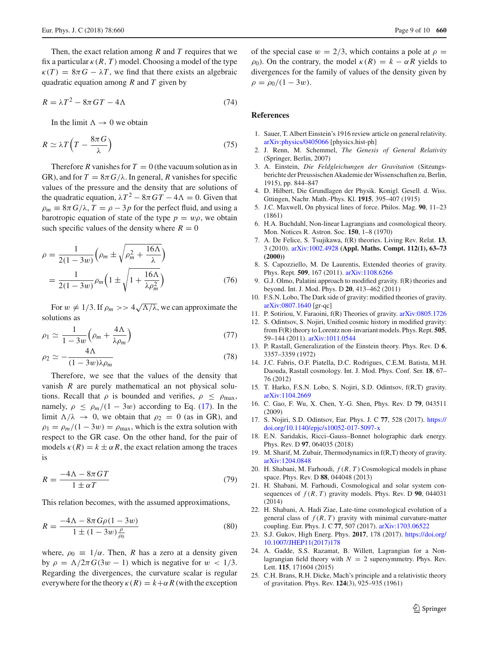Then, the exact relation among *R* and *T* requires that we fix a particular  $\kappa(R, T)$  model. Choosing a model of the type  $\kappa(T) = 8\pi G - \lambda T$ , we find that there exists an algebraic quadratic equation among *R* and *T* given by

$$
R = \lambda T^2 - 8\pi G T - 4\Lambda \tag{74}
$$

In the limit  $\Lambda \rightarrow 0$  we obtain

$$
R \simeq \lambda T \left( T - \frac{8\pi G}{\lambda} \right) \tag{75}
$$

Therefore *R* vanishes for  $T = 0$  (the vacuum solution as in GR), and for  $T = 8\pi G/\lambda$ . In general, R vanishes for specific values of the pressure and the density that are solutions of the quadratic equation,  $\lambda T^2 - 8\pi G T - 4\Lambda = 0$ . Given that  $\rho_m \equiv 8\pi G/\lambda$ ,  $T = \rho - 3p$  for the perfect fluid, and using a barotropic equation of state of the type  $p = w\rho$ , we obtain such specific values of the density where  $R = 0$ 

$$
\rho = \frac{1}{2(1-3w)} \left( \rho_m \pm \sqrt{\rho_m^2 + \frac{16\Lambda}{\lambda}} \right)
$$

$$
= \frac{1}{2(1-3w)} \rho_m \left( 1 \pm \sqrt{1 + \frac{16\Lambda}{\lambda \rho_m^2}} \right) \tag{76}
$$

For  $w \neq 1/3$ . If  $\rho_m >> 4\sqrt{\Lambda/\lambda}$ , we can approximate the solutions as

$$
\rho_1 \simeq \frac{1}{1 - 3w} \left( \rho_m + \frac{4\Lambda}{\lambda \rho_m} \right) \tag{77}
$$

$$
\rho_2 \simeq -\frac{4\Lambda}{(1-3w)\lambda \rho_m} \tag{78}
$$

Therefore, we see that the values of the density that vanish *R* are purely mathematical an not physical solutions. Recall that  $\rho$  is bounded and verifies,  $\rho \leq \rho_{\text{max}}$ , namely,  $\rho \le \rho_m/(1-3w)$  according to Eq. [\(17\)](#page-2-4). In the limit  $\Lambda/\lambda \rightarrow 0$ , we obtain that  $\rho_2 = 0$  (as in GR), and  $\rho_1 = \rho_m/(1-3w) = \rho_{\text{max}}$ , which is the extra solution with respect to the GR case. On the other hand, for the pair of models  $\kappa(R) = k \pm \alpha R$ , the exact relation among the traces is

$$
R = \frac{-4\Lambda - 8\pi GT}{1 \pm \alpha T}
$$
 (79)

This relation becomes, with the assumed approximations,

$$
R = \frac{-4\Lambda - 8\pi G\rho (1 - 3w)}{1 \pm (1 - 3w)\frac{\rho}{\rho_0}}
$$
(80)

where,  $\rho_0 = 1/\alpha$ . Then, *R* has a zero at a density given by  $ρ = Δ/2πG(3w – 1)$  which is negative for  $w < 1/3$ . Regarding the divergences, the curvature scalar is regular everywhere for the theory  $\kappa(R) = k + \alpha R$  (with the exception of the special case  $w = 2/3$ , which contains a pole at  $\rho =$  $ρ_0$ ). On the contrary, the model  $κ(R) = k - αR$  yields to divergences for the family of values of the density given by  $\rho = \rho_0/(1-3w)$ .

## **References**

- <span id="page-8-0"></span>1. Sauer, T. Albert Einstein's 1916 review article on general relativity. [arXiv:physics/0405066](http://arxiv.org/abs/physics/0405066) [physics.hist-ph]
- 2. J. Renn, M. Schemmel, *The Genesis of General Relativity* (Springer, Berlin, 2007)
- <span id="page-8-1"></span>3. A. Einstein, *Die Feldgleichungen der Gravitation* (Sitzungsberichte der Preussischen Akademie der Wissenschaften zu, Berlin, 1915), pp. 844–847
- <span id="page-8-2"></span>4. D. Hilbert, Die Grundlagen der Physik. Konigl. Gesell. d. Wiss. Gttingen, Nachr. Math.-Phys. Kl. **1915**, 395–407 (1915)
- <span id="page-8-3"></span>5. J.C. Maxwell, On physical lines of force. Philos. Mag. **90**, 11–23 (1861)
- <span id="page-8-4"></span>6. H.A. Buchdahl, Non-linear Lagrangians and cosmological theory. Mon. Notices R. Astron. Soc. **150**, 1–8 (1970)
- 7. A. De Felice, S. Tsujikawa, f(R) theories. Living Rev. Relat. **13**, 3 (2010). [arXiv:1002.4928](http://arxiv.org/abs/1002.4928) **(Appl. Maths. Compt. 112(1), 63–73 (2000))**
- 8. S. Capozziello, M. De Laurentis, Extended theories of gravity. Phys. Rept. **509**, 167 (2011). [arXiv:1108.6266](http://arxiv.org/abs/1108.6266)
- 9. G.J. Olmo, Palatini approach to modified gravity. f(R) theories and beyond. Int. J. Mod. Phys. D **20**, 413–462 (2011)
- 10. F.S.N. Lobo, The Dark side of gravity: modified theories of gravity. [arXiv:0807.1640](http://arxiv.org/abs/0807.1640) [gr-qc]
- 11. P. Sotiriou, V. Faraoini, f(R) Theories of gravity. [arXiv:0805.1726](http://arxiv.org/abs/0805.1726)
- <span id="page-8-5"></span>12. S. Odintsov, S. Nojiri, Unified cosmic history in modified gravity: from F(R) theory to Lorentz non-invariant models. Phys. Rept. **505**, 59–144 (2011). [arXiv:1011.0544](http://arxiv.org/abs/1011.0544)
- <span id="page-8-6"></span>13. P. Rastall, Generalization of the Einstein theory. Phys. Rev. D **6**, 3357–3359 (1972)
- <span id="page-8-7"></span>14. J.C. Fabris, O.F. Piatella, D.C. Rodrigues, C.E.M. Batista, M.H. Daouda, Rastall cosmology. Int. J. Mod. Phys. Conf. Ser. **18**, 67– 76 (2012)
- <span id="page-8-8"></span>15. T. Harko, F.S.N. Lobo, S. Nojiri, S.D. Odintsov, f(R,T) gravity. [arXiv:1104.2669](http://arxiv.org/abs/1104.2669)
- <span id="page-8-14"></span>16. C. Gao, F. Wu, X. Chen, Y.-G. Shen, Phys. Rev. D **79**, 043511 (2009)
- 17. S. Nojiri, S.D. Odintsov, Eur. Phys. J. C **77**, 528 (2017). [https://](https://doi.org/10.1140/epjc/s10052-017-5097-x) [doi.org/10.1140/epjc/s10052-017-5097-x](https://doi.org/10.1140/epjc/s10052-017-5097-x)
- <span id="page-8-15"></span>18. E.N. Saridakis, Ricci–Gauss–Bonnet holographic dark energy. Phys. Rev. D **97**, 064035 (2018)
- <span id="page-8-9"></span>19. M. Sharif, M. Zubair, Thermodynamics in f(R,T) theory of gravity. [arXiv:1204.0848](http://arxiv.org/abs/1204.0848)
- <span id="page-8-16"></span>20. H. Shabani, M. Farhoudi, *f* (*R*, *T* ) Cosmological models in phase space. Phys. Rev. D **88**, 044048 (2013)
- 21. H. Shabani, M. Farhoudi, Cosmological and solar system consequences of  $f(R, T)$  gravity models. Phys. Rev. D 90, 044031 (2014)
- <span id="page-8-10"></span>22. H. Shabani, A. Hadi Ziae, Late-time cosmological evolution of a general class of  $f(R, T)$  gravity with minimal curvature-matter coupling. Eur. Phys. J. C **77**, 507 (2017). [arXiv:1703.06522](http://arxiv.org/abs/1703.06522)
- <span id="page-8-11"></span>23. S.J. Gukov, High Energ. Phys. **2017**, 178 (2017). [https://doi.org/](https://doi.org/10.1007/JHEP11(2017)178) [10.1007/JHEP11\(2017\)178](https://doi.org/10.1007/JHEP11(2017)178)
- <span id="page-8-12"></span>24. A. Gadde, S.S. Razamat, B. Willett, Lagrangian for a Nonlagrangian field theory with  $N = 2$  supersymmetry. Phys. Rev. Lett. **115**, 171604 (2015)
- <span id="page-8-13"></span>25. C.H. Brans, R.H. Dicke, Mach's principle and a relativistic theory of gravitation. Phys. Rev. **124**(3), 925–935 (1961)